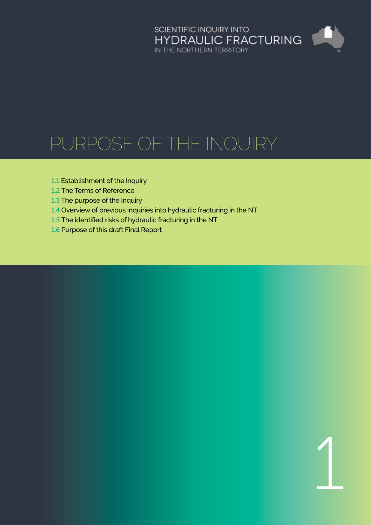# SCIENTIFIC INQUIRY INTO<br>HYDRAULIC FRACTURING<br>IN THE NORTHERN TERRITORY

1

# Purpose of the Inquiry

- 1.1 [Establishment of the Inquiry](#page-1-0)
- 1.2 [The Terms of Reference](#page-1-0)
- 1.3 [The purpose of the Inquiry](#page-1-0)
- 1.4 [Overview of previous inquiries into hydraulic fracturing in the NT](#page-1-0)
- 1.5 [The identified risks of hydraulic fracturing in the NT](#page-2-0)
- 1.6 [Purpose of this draft Final Report](#page-3-0)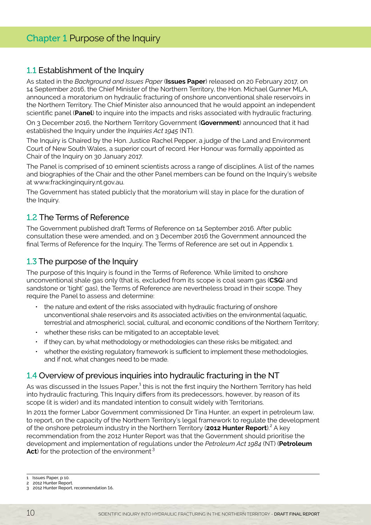## <span id="page-1-0"></span>Chapter 1 Purpose of the Inquiry

#### 1.1 Establishment of the Inquiry

As stated in the *Background and Issues Paper* (**Issues Paper**) released on 20 February 2017, on 14 September 2016, the Chief Minister of the Northern Territory, the Hon. Michael Gunner MLA, announced a moratorium on hydraulic fracturing of onshore unconventional shale reservoirs in the Northern Territory. The Chief Minister also announced that he would appoint an independent scientific panel (**Panel**) to inquire into the impacts and risks associated with hydraulic fracturing.

On 3 December 2016, the Northern Territory Government (**Government**) announced that it had established the Inquiry under the *Inquiries Act 1945* (NT).

The Inquiry is Chaired by the Hon. Justice Rachel Pepper, a judge of the Land and Environment Court of New South Wales, a superior court of record. Her Honour was formally appointed as Chair of the Inquiry on 30 January 2017.

The Panel is comprised of 10 eminent scientists across a range of disciplines. A list of the names and biographies of the Chair and the other Panel members can be found on the Inquiry's website at www.frackinginquiry.nt.gov.au.

The Government has stated publicly that the moratorium will stay in place for the duration of the Inquiry.

#### 1.2 The Terms of Reference

The Government published draft Terms of Reference on 14 September 2016. After public consultation these were amended, and on 3 December 2016 the Government announced the final Terms of Reference for the Inquiry. The Terms of Reference are set out in Appendix 1.

#### 1.3 The purpose of the Inquiry

The purpose of this Inquiry is found in the Terms of Reference. While limited to onshore unconventional shale gas only (that is, excluded from its scope is coal seam gas (**CSG**) and sandstone or 'tight' gas), the Terms of Reference are nevertheless broad in their scope. They require the Panel to assess and determine:

- the nature and extent of the risks associated with hydraulic fracturing of onshore unconventional shale reservoirs and its associated activities on the environmental (aquatic, terrestrial and atmospheric), social, cultural, and economic conditions of the Northern Territory;
- whether these risks can be mitigated to an acceptable level;
- if they can, by what methodology or methodologies can these risks be mitigated; and
- whether the existing regulatory framework is sufficient to implement these methodologies, and if not, what changes need to be made.

#### 1.4 Overview of previous inquiries into hydraulic fracturing in the NT

As was discussed in the Issues Paper, $^{\text{1}}$  this is not the first inquiry the Northern Territory has held into hydraulic fracturing. This Inquiry differs from its predecessors, however, by reason of its scope (it is wider) and its mandated intention to consult widely with Territorians.

In 2011 the former Labor Government commissioned Dr Tina Hunter, an expert in petroleum law, to report, on the capacity of the Northern Territory's legal framework to regulate the development of the onshore petroleum industry in the Northern Territory (2012 Hunter Report).<sup>2</sup> A key recommendation from the 2012 Hunter Report was that the Government should prioritise the development and implementation of regulations under the *Petroleum Act 1984* (NT) (**Petroleum**  Act) for the protection of the environment<sup>3</sup>

<sup>1</sup> Issues Paper, p 10.

<sup>2 2012</sup> Hunter Report.

<sup>3 2012</sup> Hunter Report, recommendation 16.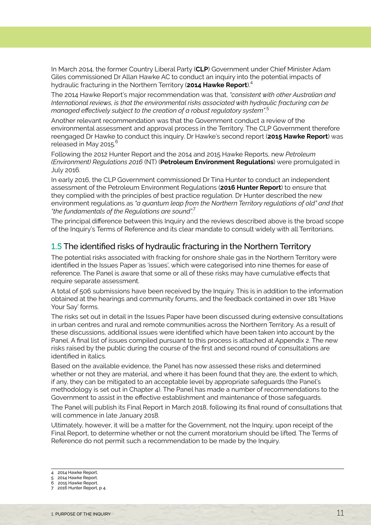<span id="page-2-0"></span>In March 2014, the former Country Liberal Party (**CLP**) Government under Chief Minister Adam Giles commissioned Dr Allan Hawke AC to conduct an inquiry into the potential impacts of hydraulic fracturing in the Northern Territory (**2014 Hawke Report**).4

The 2014 Hawke Report's major recommendation was that, *"consistent with other Australian and International reviews, is that the environmental risks associated with hydraulic fracturing can be managed effectively subject to the creation of a robust regulatory system"*. 5

Another relevant recommendation was that the Government conduct a review of the environmental assessment and approval process in the Territory. The CLP Government therefore reengaged Dr Hawke to conduct this inquiry. Dr Hawke's second report (**2015 Hawke Report**) was released in May 2015.<sup>6</sup>

Following the 2012 Hunter Report and the 2014 and 2015 Hawke Reports, new *Petroleum (Environment) Regulations 2016* (NT) (**Petroleum Environment Regulations**) were promulgated in July 2016.

In early 2016, the CLP Government commissioned Dr Tina Hunter to conduct an independent assessment of the Petroleum Environment Regulations (**2016 Hunter Report**) to ensure that they complied with the principles of best practice regulation. Dr Hunter described the new environment regulations as *"a quantum leap from the Northern Territory regulations of old" and that "the fundamentals of the Regulations are sound".*<sup>7</sup>

The principal difference between this Inquiry and the reviews described above is the broad scope of the Inquiry's Terms of Reference and its clear mandate to consult widely with all Territorians.

#### 1.5 The identified risks of hydraulic fracturing in the Northern Territory

The potential risks associated with fracking for onshore shale gas in the Northern Territory were identified in the Issues Paper as 'issues', which were categorised into nine themes for ease of reference. The Panel is aware that some or all of these risks may have cumulative effects that require separate assessment.

A total of 506 submissions have been received by the Inquiry. This is in addition to the information obtained at the hearings and community forums, and the feedback contained in over 181 'Have Your Say' forms.

The risks set out in detail in the Issues Paper have been discussed during extensive consultations in urban centres and rural and remote communities across the Northern Territory. As a result of these discussions, additional issues were identified which have been taken into account by the Panel. A final list of issues compiled pursuant to this process is attached at Appendix 2. The new risks raised by the public during the course of the first and second round of consultations are identified in italics.

Based on the available evidence, the Panel has now assessed these risks and determined whether or not they are material, and where it has been found that they are, the extent to which, if any, they can be mitigated to an acceptable level by appropriate safeguards (the Panel's methodology is set out in Chapter 4). The Panel has made a number of recommendations to the Government to assist in the effective establishment and maintenance of those safeguards.

The Panel will publish its Final Report in March 2018, following its final round of consultations that will commence in late January 2018.

Ultimately, however, it will be a matter for the Government, not the Inquiry, upon receipt of the Final Report, to determine whether or not the current moratorium should be lifted. The Terms of Reference do not permit such a recommendation to be made by the Inquiry.

- 4 2014 Hawke Report.
- 5 2014 Hawke Report.
- 6 2015 Hawke Report.
- 7 2016 Hunter Report, p 4.